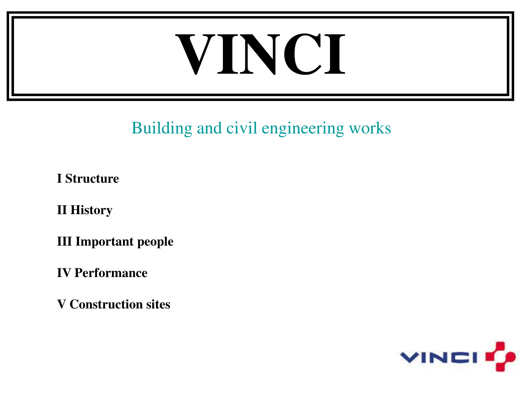# **VINCI**

#### Building and civil engineering works

**I Structure** 

**II History** 

**III Important people** 

**IV Performance** 

**V Construction sites** 

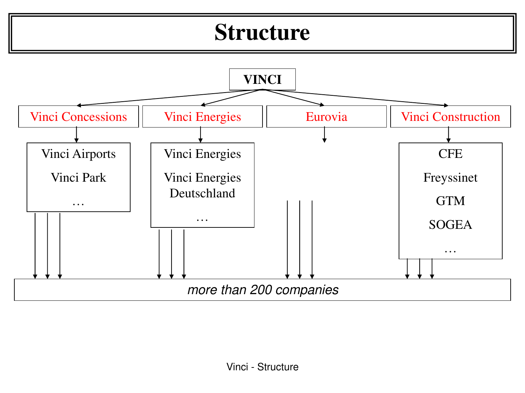#### **Structure**

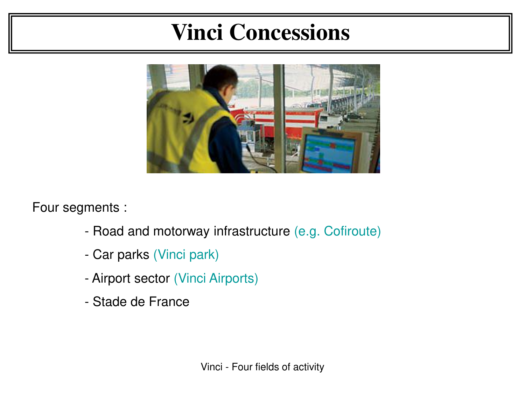## **Vinci Concessions**



Four segments :

- Road and motorway infrastructure (e.g. Cofiroute)
- Car parks (Vinci park)
- Airport sector (Vinci Airports)
- Stade de France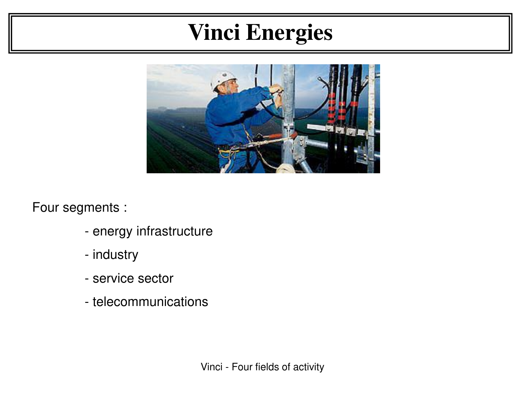# **Vinci Energies**



Four segments :

- energy infrastructure
- industry
- service sector
- telecommunications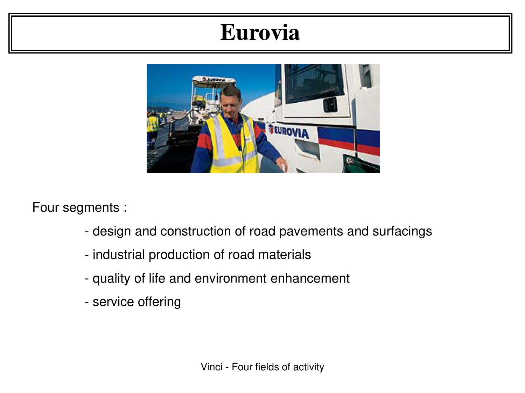#### **Eurovia**



Four segments :

- design and construction of road pavements and surfacings
- industrial production of road materials
- quality of life and environment enhancement
- service offering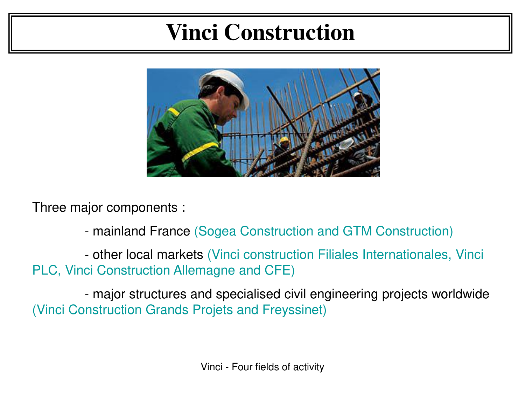## **Vinci Construction**



Three major components :

- mainland France (Sogea Construction and GTM Construction)

 - other local markets (Vinci construction Filiales Internationales, Vinci PLC, Vinci Construction Allemagne and CFE)

 - major structures and specialised civil engineering projects worldwide (Vinci Construction Grands Projets and Freyssinet)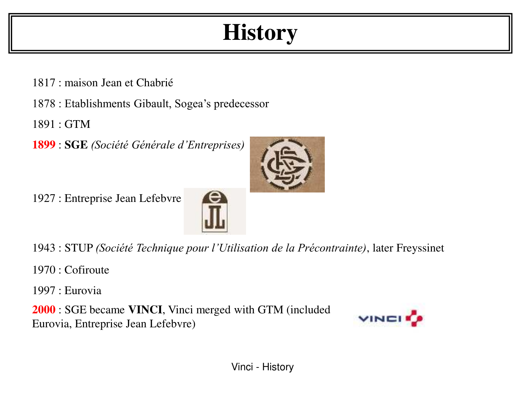# **History**

- 1817 : maison Jean et Chabrié
- 1878 : Etablishments Gibault, Sogea's predecessor
- 1891 : GTM
- **1899** : **SGE** *(Société Générale d'Entreprises)*





- 1943 : STUP *(Société Technique pour l'Utilisation de la Précontrainte)*, later Freyssinet
- 1970 : Cofiroute
- 1997 : Eurovia
- **2000** : SGE became **VINCI**, Vinci merged with GTM (included Eurovia, Entreprise Jean Lefebvre)

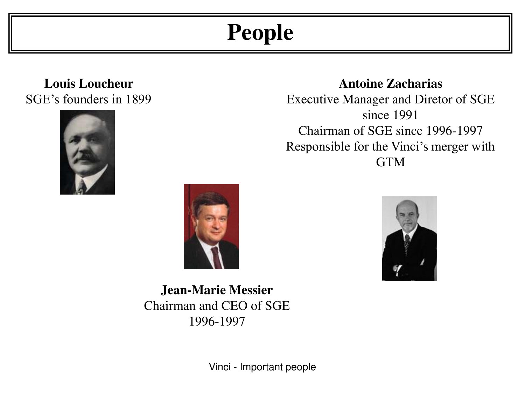# **People**

**Louis Loucheur**  SGE's founders in 1899





**Jean-Marie Messier** Chairman and CEO of SGE 1996-1997

#### **Antoine Zacharias**

Executive Manager and Diretor of SGE since 1991 Chairman of SGE since 1996-1997 Responsible for the Vinci's merger with GTM



Vinci - Important people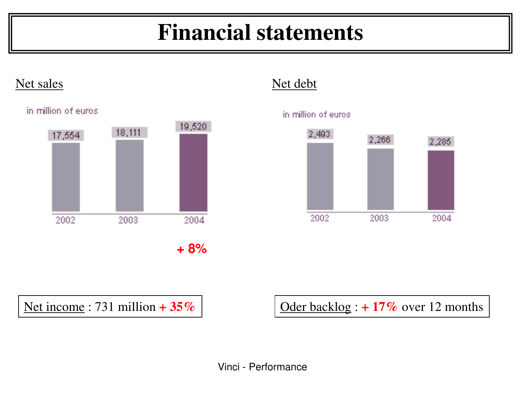# **Financial statements**

#### Net sales Net debt

in million of euros.





Net income : 731 million  $+ 35\%$   $\vert$   $\vert$  Oder backlog :  $+ 17\%$  over 12 months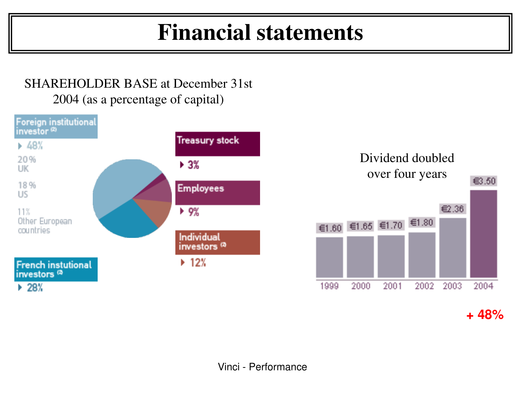## **Financial statements**

#### SHAREHOLDER BASE at December 31st 2004 (as a percentage of capital)





**+ 48%**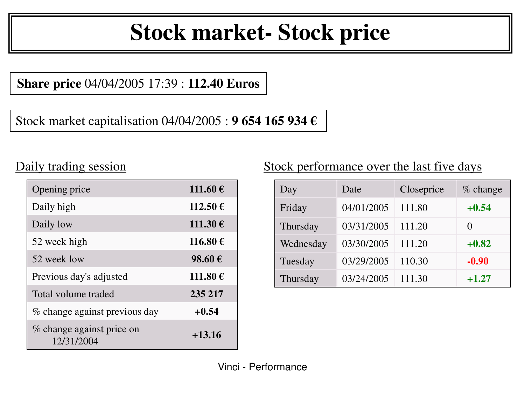# **Stock market- Stock price**

**Share price** 04/04/2005 17:39 : **112.40 Euros**

Stock market capitalisation 04/04/2005 : **9 654 165 934 €**

#### Daily trading session

| Opening price                           | 111.60€      |
|-----------------------------------------|--------------|
| Daily high                              | $112.50 \in$ |
| Daily low                               | 111.30€      |
| 52 week high                            | 116.80 €     |
| 52 week low                             | 98.60€       |
| Previous day's adjusted                 | 111.80€      |
| Total volume traded                     | 235 217      |
| % change against previous day           | $+0.54$      |
| % change against price on<br>12/31/2004 | $+13.16$     |

#### Stock performance over the last five days

| Day       | Date       | Closeprice | % change |
|-----------|------------|------------|----------|
| Friday    | 04/01/2005 | 111.80     | $+0.54$  |
| Thursday  | 03/31/2005 | 111.20     |          |
| Wednesday | 03/30/2005 | 111.20     | $+0.82$  |
| Tuesday   | 03/29/2005 | 110.30     | $-0.90$  |
| Thursday  | 03/24/2005 | 111.30     | $+1.27$  |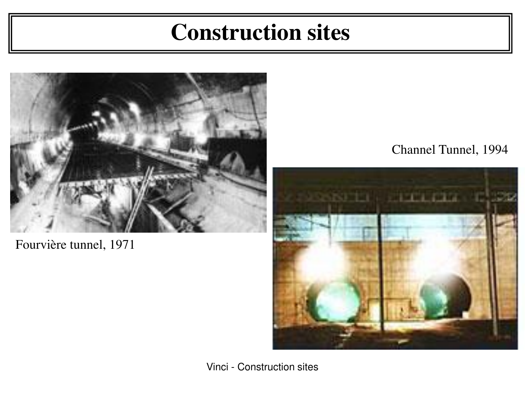#### **Construction sites**



Fourvière tunnel, 1971

#### Channel Tunnel, 1994

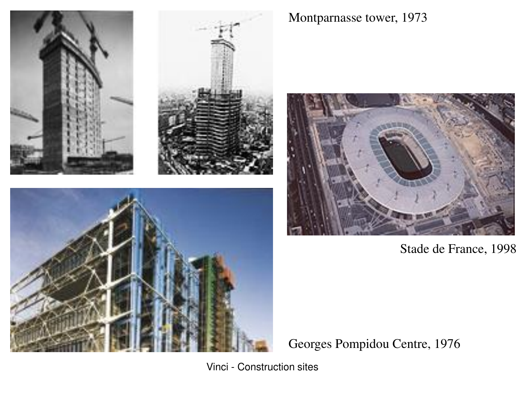

Montparnasse tower, 1973



Stade de France, 1998

Georges Pompidou Centre, 1976

Vinci - Construction sites